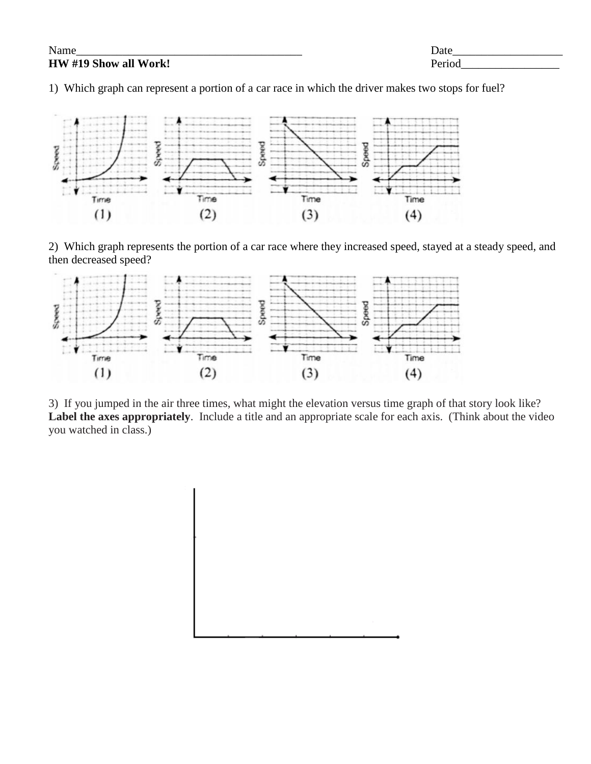**HW #19 Show all Work!** Period

Name\_\_\_\_\_\_\_\_\_\_\_\_\_\_\_\_\_\_\_\_\_\_\_\_\_\_\_\_\_\_\_\_\_\_\_\_\_\_\_ Date\_\_\_\_\_\_\_\_\_\_\_\_\_\_\_\_\_\_\_

1) Which graph can represent a portion of a car race in which the driver makes two stops for fuel?



2) Which graph represents the portion of a car race where they increased speed, stayed at a steady speed, and then decreased speed?



3) If you jumped in the air three times, what might the elevation versus time graph of that story look like? **Label the axes appropriately**. Include a title and an appropriate scale for each axis. (Think about the video you watched in class.)